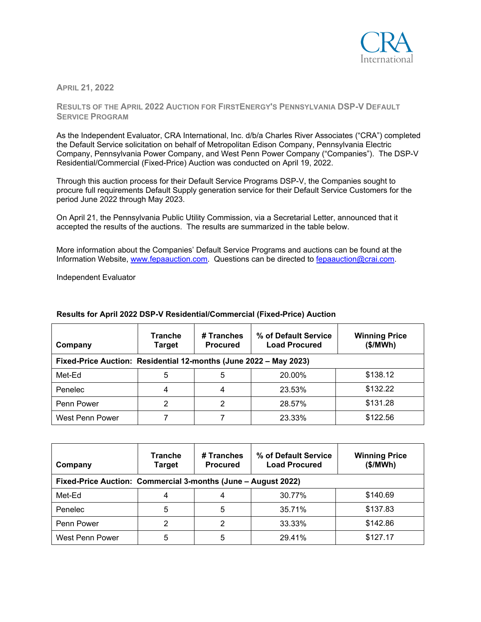

**APRIL 21, 2022**

**RESULTS OF THE APRIL 2022 AUCTION FOR FIRSTENERGY'S PENNSYLVANIA DSP-V DEFAULT SERVICE PROGRAM**

As the Independent Evaluator, CRA International, Inc. d/b/a Charles River Associates ("CRA") completed the Default Service solicitation on behalf of Metropolitan Edison Company, Pennsylvania Electric Company, Pennsylvania Power Company, and West Penn Power Company ("Companies"). The DSP-V Residential/Commercial (Fixed-Price) Auction was conducted on April 19, 2022.

Through this auction process for their Default Service Programs DSP-V, the Companies sought to procure full requirements Default Supply generation service for their Default Service Customers for the period June 2022 through May 2023.

On April 21, the Pennsylvania Public Utility Commission, via a Secretarial Letter, announced that it accepted the results of the auctions. The results are summarized in the table below.

More information about the Companies' Default Service Programs and auctions can be found at the Information Website, [www.fepaauction.com.](http://www.fepaauction.com/) Questions can be directed to [fepaauction@crai.com.](mailto:fepaauction@crai.com)

Independent Evaluator

| Company                                                           | <b>Tranche</b><br>Target | # Tranches<br><b>Procured</b> | % of Default Service<br><b>Load Procured</b> | <b>Winning Price</b><br>(\$/MWh) |  |  |  |
|-------------------------------------------------------------------|--------------------------|-------------------------------|----------------------------------------------|----------------------------------|--|--|--|
| Fixed-Price Auction: Residential 12-months (June 2022 - May 2023) |                          |                               |                                              |                                  |  |  |  |
| Met-Ed                                                            | 5                        | 5                             | 20.00%                                       | \$138.12                         |  |  |  |
| Penelec                                                           | 4                        | 4                             | 23.53%                                       | \$132.22                         |  |  |  |
| Penn Power                                                        | 2                        | 2                             | 28.57%                                       | \$131.28                         |  |  |  |
| West Penn Power                                                   |                          |                               | 23.33%                                       | \$122.56                         |  |  |  |

## **Results for April 2022 DSP-V Residential/Commercial (Fixed-Price) Auction**

| Company                                                       | <b>Tranche</b><br><b>Target</b> | # Tranches<br><b>Procured</b> | % of Default Service<br><b>Load Procured</b> | <b>Winning Price</b><br>(\$/MWh) |  |  |  |
|---------------------------------------------------------------|---------------------------------|-------------------------------|----------------------------------------------|----------------------------------|--|--|--|
| Fixed-Price Auction: Commercial 3-months (June - August 2022) |                                 |                               |                                              |                                  |  |  |  |
| Met-Ed                                                        |                                 | 4                             | 30.77%                                       | \$140.69                         |  |  |  |
| Penelec                                                       | 5                               | 5                             | 35.71%                                       | \$137.83                         |  |  |  |
| Penn Power                                                    | 2                               | 2                             | 33.33%                                       | \$142.86                         |  |  |  |
| West Penn Power                                               | 5                               | 5                             | 29.41%                                       | \$127.17                         |  |  |  |